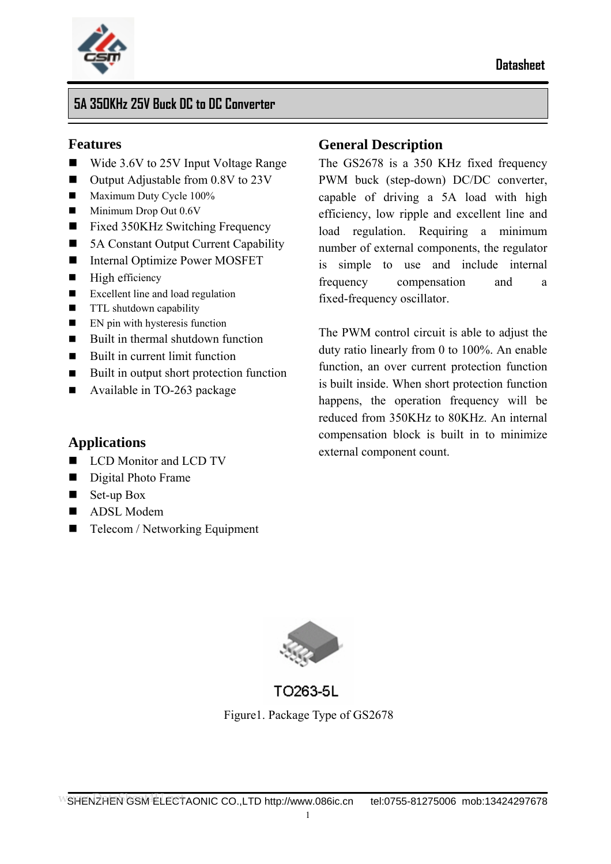



#### **Features**

- Wide 3.6V to 25V Input Voltage Range
- Output Adjustable from 0.8V to 23V
- Maximum Duty Cycle 100%
- $\blacksquare$  Minimum Drop Out 0.6V
- Fixed 350KHz Switching Frequency
- 5A Constant Output Current Capability
- Internal Optimize Power MOSFET
- $\blacksquare$  High efficiency
- Excellent line and load regulation
- **TTL** shutdown capability
- $\blacksquare$  EN pin with hysteresis function
- $\blacksquare$  Built in thermal shutdown function
- $\blacksquare$  Built in current limit function
- Built in output short protection function
- Available in TO-263 package

#### **General Description**

The GS2678 is a 350 KHz fixed frequency PWM buck (step-down) DC/DC converter, capable of driving a 5A load with high efficiency, low ripple and excellent line and load regulation. Requiring a minimum number of external components, the regulator is simple to use and include internal frequency compensation and a fixed-frequency oscillator.

The PWM control circuit is able to adjust the duty ratio linearly from 0 to 100%. An enable function, an over current protection function is built inside. When short protection function happens, the operation frequency will be reduced from 350KHz to 80KHz. An internal compensation block is built in to minimize external component count.

#### **Applications**

- LCD Monitor and LCD TV
- Digital Photo Frame
- Set-up Box
- ADSL Modem
- Telecom / Networking Equipment



TO263-5L Figure1. Package Type of GS2678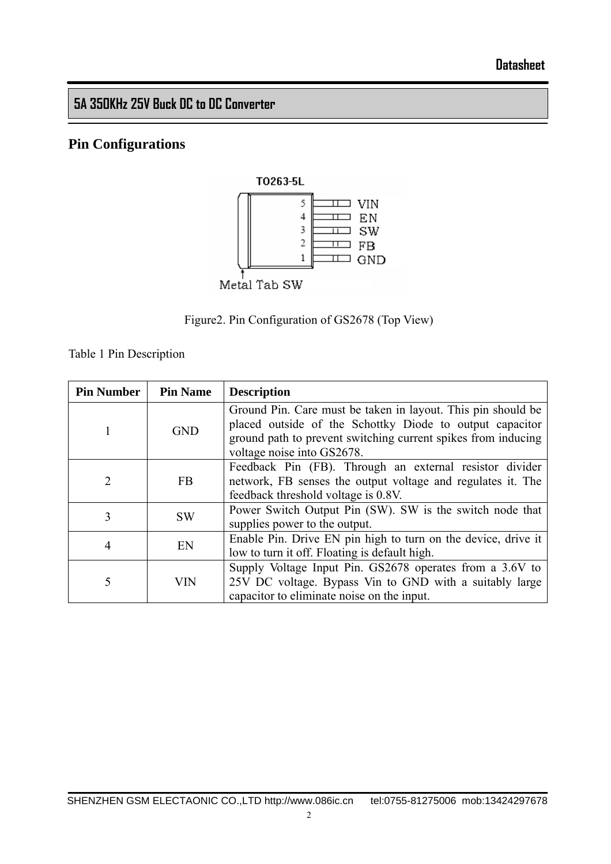# **Pin Configurations**



Figure2. Pin Configuration of GS2678 (Top View)

Table 1 Pin Description

| <b>Pin Number</b> | <b>Pin Name</b>                                                                                                                                                            | <b>Description</b>                                                                                                                                                                                                      |  |  |  |
|-------------------|----------------------------------------------------------------------------------------------------------------------------------------------------------------------------|-------------------------------------------------------------------------------------------------------------------------------------------------------------------------------------------------------------------------|--|--|--|
|                   | <b>GND</b>                                                                                                                                                                 | Ground Pin. Care must be taken in layout. This pin should be<br>placed outside of the Schottky Diode to output capacitor<br>ground path to prevent switching current spikes from inducing<br>voltage noise into GS2678. |  |  |  |
| 2                 | Feedback Pin (FB). Through an external resistor divider<br><b>FB</b><br>network, FB senses the output voltage and regulates it. The<br>feedback threshold voltage is 0.8V. |                                                                                                                                                                                                                         |  |  |  |
| 3                 | <b>SW</b>                                                                                                                                                                  | Power Switch Output Pin (SW). SW is the switch node that<br>supplies power to the output.                                                                                                                               |  |  |  |
| 4                 | EN                                                                                                                                                                         | Enable Pin. Drive EN pin high to turn on the device, drive it<br>low to turn it off. Floating is default high.                                                                                                          |  |  |  |
| 5                 | VIN                                                                                                                                                                        | Supply Voltage Input Pin. GS2678 operates from a 3.6V to<br>25V DC voltage. Bypass Vin to GND with a suitably large<br>capacitor to eliminate noise on the input.                                                       |  |  |  |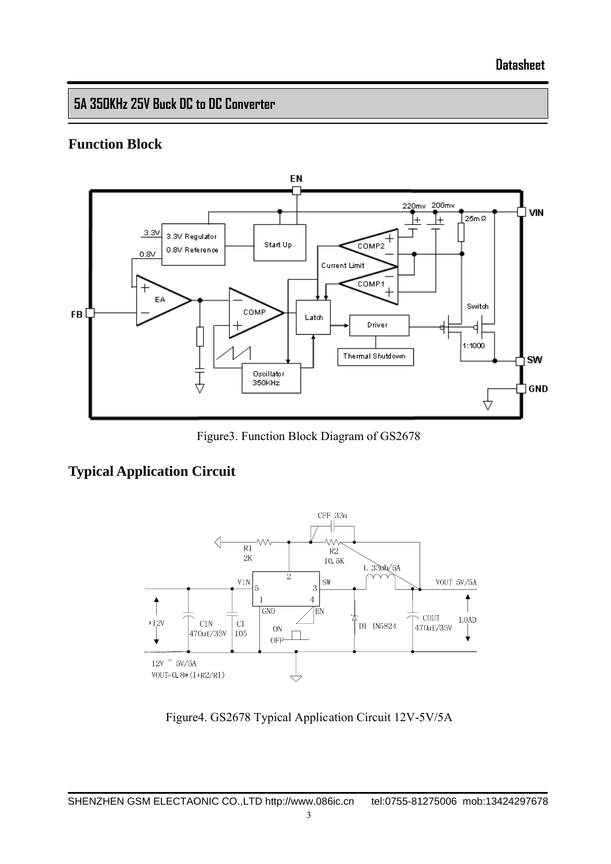### **Function Block**



Figure3. Function Block Diagram of GS2678

# **Typical Application Circuit**



Figure4. GS2678 Typical Application Circuit 12V-5V/5A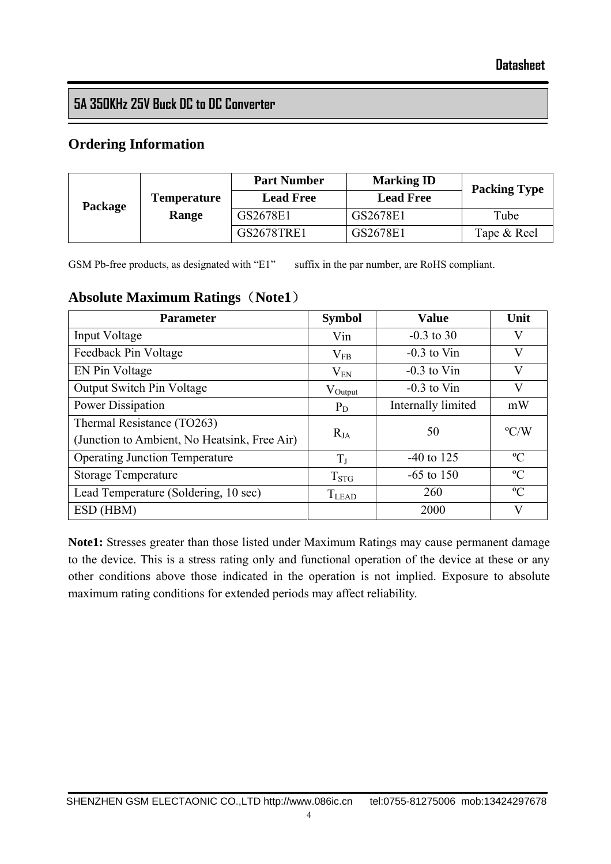### **Ordering Information**

|         |                    | <b>Part Number</b> | <b>Marking ID</b> | <b>Packing Type</b> |  |
|---------|--------------------|--------------------|-------------------|---------------------|--|
| Package | <b>Temperature</b> | <b>Lead Free</b>   | <b>Lead Free</b>  |                     |  |
|         | Range              | GS2678E1           | GS2678E1          | Tube                |  |
|         |                    | <b>GS2678TRE1</b>  | GS2678E1          | Tape & Reel         |  |

GSM Pb-free products, as designated with "E1" suffix in the par number, are RoHS compliant.

#### **Absolute Maximum Ratings**(**Note1**)

| <b>Parameter</b>                                                           | <b>Symbol</b>       | <b>Value</b>       | Unit          |
|----------------------------------------------------------------------------|---------------------|--------------------|---------------|
| Input Voltage                                                              | Vin                 | $-0.3$ to 30       | V             |
| Feedback Pin Voltage                                                       | $\rm V_{FB}$        | $-0.3$ to Vin      | V             |
| EN Pin Voltage                                                             | $V_{EN}$            | $-0.3$ to Vin      | V             |
| <b>Output Switch Pin Voltage</b>                                           | $V_{\text{Output}}$ | $-0.3$ to Vin      | V             |
| <b>Power Dissipation</b>                                                   | $P_D$               | Internally limited | mW            |
| Thermal Resistance (TO263)<br>(Junction to Ambient, No Heatsink, Free Air) | $R_{JA}$            | 50                 | $\rm ^{o}C/W$ |
| <b>Operating Junction Temperature</b>                                      | $T_{J}$             | $-40$ to 125       | $\rm ^{o}C$   |
| <b>Storage Temperature</b>                                                 | $T_{STG}$           | $-65$ to 150       | $\rm ^{o}C$   |
| Lead Temperature (Soldering, 10 sec)                                       | $T_{LEAD}$          | 260                | $\rm ^{o}C$   |
| ESD (HBM)                                                                  |                     | 2000               | V             |

**Note1:** Stresses greater than those listed under Maximum Ratings may cause permanent damage to the device. This is a stress rating only and functional operation of the device at these or any other conditions above those indicated in the operation is not implied. Exposure to absolute maximum rating conditions for extended periods may affect reliability.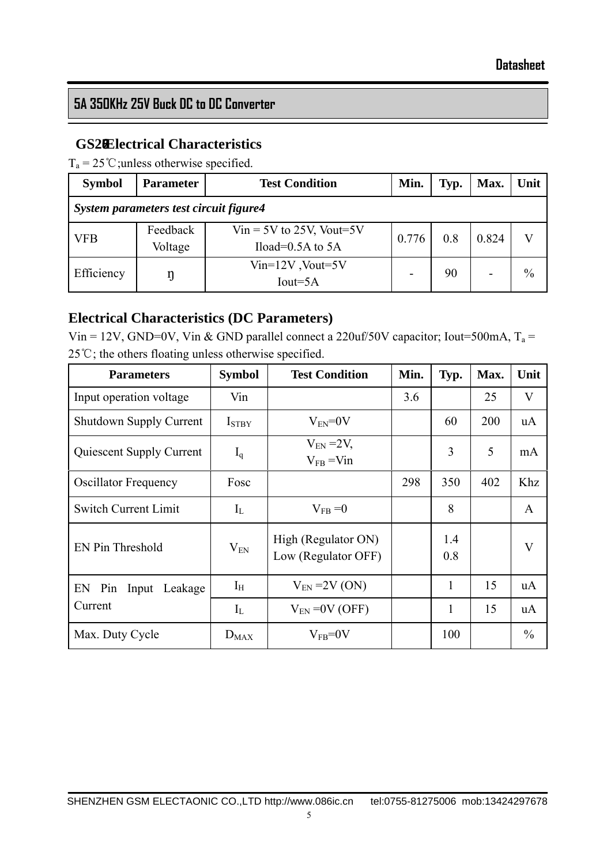### **GS2 Electrical Characteristics**

 $T_a = 25^{\circ}$ C;unless otherwise specified.

| <b>Symbol</b>                          | <b>Parameter</b>    | <b>Test Condition</b>                                | Min.  | Typ. | Max.  | Unit          |  |
|----------------------------------------|---------------------|------------------------------------------------------|-------|------|-------|---------------|--|
| System parameters test circuit figure4 |                     |                                                      |       |      |       |               |  |
| <b>VFB</b>                             | Feedback<br>Voltage | $V$ in = 5V to 25V, Vout=5V<br>Iload= $0.5A$ to $5A$ | 0.776 | 0.8  | 0.824 |               |  |
| Efficiency                             |                     | $Vin=12V$ , Vout=5V<br>$Iout=5A$                     | -     | 90   |       | $\frac{0}{0}$ |  |

#### **Electrical Characteristics (DC Parameters)**

Vin = 12V, GND=0V, Vin & GND parallel connect a 220uf/50V capacitor; Iout=500mA,  $T_a$  = 25℃; the others floating unless otherwise specified.

| <b>Parameters</b>              | <b>Symbol</b> | <b>Test Condition</b>                      | Min. | Typ.       | Max. | Unit          |
|--------------------------------|---------------|--------------------------------------------|------|------------|------|---------------|
| Input operation voltage        | Vin           |                                            | 3.6  |            | 25   | V             |
| <b>Shutdown Supply Current</b> | $I_{STBY}$    | $V_{EN} = 0V$                              |      | 60         | 200  | uA            |
| Quiescent Supply Current       | $I_q$         | $V_{EN}$ = 2V,<br>$V_{FB} = V_{1n}$        |      | 3          | 5    | mA            |
| <b>Oscillator Frequency</b>    | Fosc          |                                            | 298  | 350        | 402  | Khz           |
| <b>Switch Current Limit</b>    | $I_L$         | $V_{FB} = 0$                               |      | 8          |      | A             |
| EN Pin Threshold               | $\rm V_{EN}$  | High (Regulator ON)<br>Low (Regulator OFF) |      | 1.4<br>0.8 |      | $\mathbf{V}$  |
| EN Pin<br>Input Leakage        | $I_H$         | $V_{EN}$ =2V (ON)                          |      | 1          | 15   | <b>uA</b>     |
| Current                        | $I_{L}$       | $V_{EN}$ = 0V (OFF)                        |      | 1          | 15   | <b>uA</b>     |
| Max. Duty Cycle                | $D_{MAX}$     | $V_{FB} = 0V$                              |      | 100        |      | $\frac{0}{0}$ |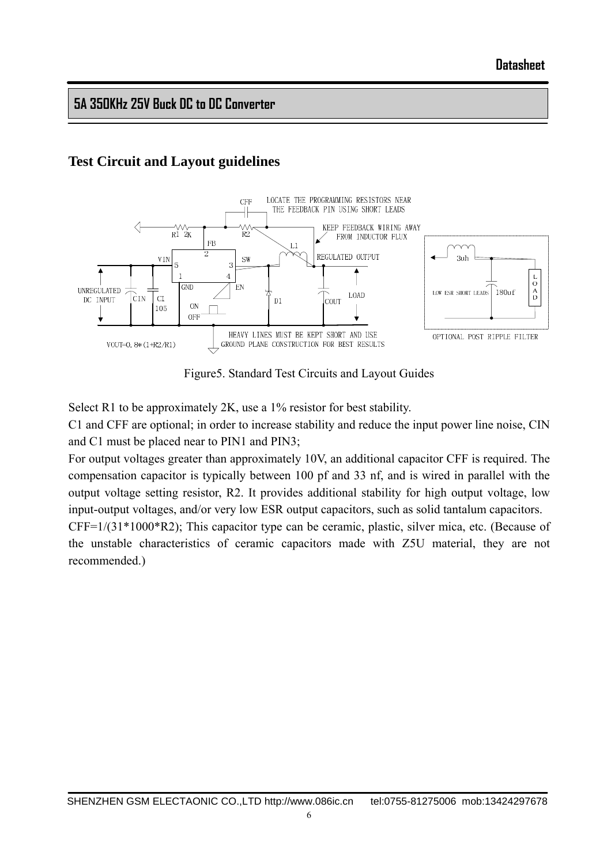### **Test Circuit and Layout guidelines**



Figure5. Standard Test Circuits and Layout Guides

Select R1 to be approximately 2K, use a 1% resistor for best stability.

C1 and CFF are optional; in order to increase stability and reduce the input power line noise, CIN and C1 must be placed near to PIN1 and PIN3;

For output voltages greater than approximately 10V, an additional capacitor CFF is required. The compensation capacitor is typically between 100 pf and 33 nf, and is wired in parallel with the output voltage setting resistor, R2. It provides additional stability for high output voltage, low input-output voltages, and/or very low ESR output capacitors, such as solid tantalum capacitors.

CFF=1/(31\*1000\*R2); This capacitor type can be ceramic, plastic, silver mica, etc. (Because of the unstable characteristics of ceramic capacitors made with Z5U material, they are not recommended.)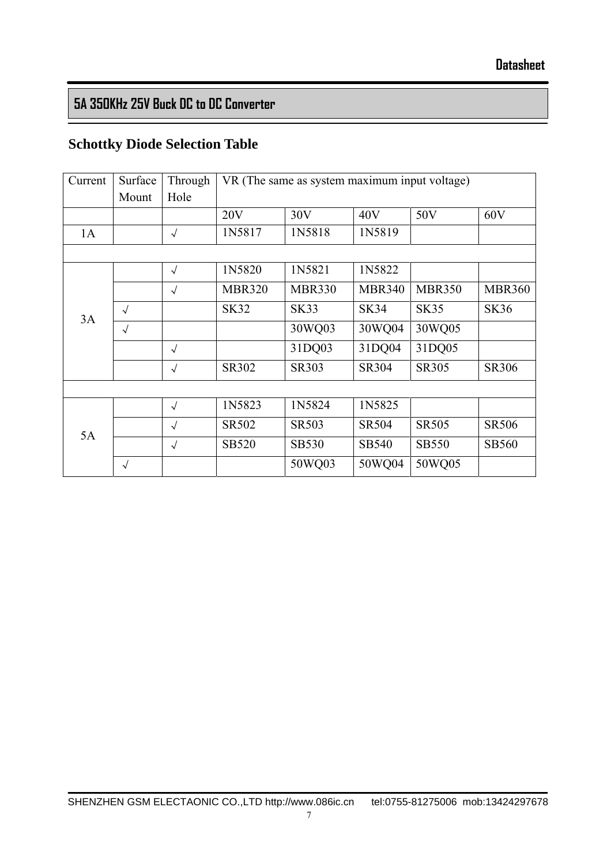# **Schottky Diode Selection Table**

| Current | Surface    | Through    | VR (The same as system maximum input voltage) |               |               |               |               |
|---------|------------|------------|-----------------------------------------------|---------------|---------------|---------------|---------------|
|         | Mount      | Hole       |                                               |               |               |               |               |
|         |            |            | 20V                                           | 30V           | 40V           | 50V           | 60V           |
| 1A      |            | $\sqrt{2}$ | 1N5817                                        | 1N5818        | 1N5819        |               |               |
|         |            |            |                                               |               |               |               |               |
|         |            | $\sqrt{2}$ | 1N5820                                        | 1N5821        | 1N5822        |               |               |
|         |            | $\sqrt{ }$ | <b>MBR320</b>                                 | <b>MBR330</b> | <b>MBR340</b> | <b>MBR350</b> | <b>MBR360</b> |
| 3A      | $\sqrt{ }$ |            | <b>SK32</b>                                   | <b>SK33</b>   | SK34          | <b>SK35</b>   | <b>SK36</b>   |
|         | $\sqrt{ }$ |            |                                               | 30WQ03        | 30WQ04        | 30WQ05        |               |
|         |            | $\sqrt{ }$ |                                               | 31DQ03        | 31DQ04        | 31DQ05        |               |
|         |            | $\sqrt{ }$ | SR302                                         | <b>SR303</b>  | SR304         | SR305         | <b>SR306</b>  |
|         |            |            |                                               |               |               |               |               |
|         |            | $\sqrt{ }$ | 1N5823                                        | 1N5824        | 1N5825        |               |               |
| 5A      |            | $\sqrt{ }$ | SR502                                         | <b>SR503</b>  | <b>SR504</b>  | <b>SR505</b>  | <b>SR506</b>  |
|         |            | $\sqrt{ }$ | <b>SB520</b>                                  | SB530         | SB540         | <b>SB550</b>  | <b>SB560</b>  |
|         | $\sqrt{ }$ |            |                                               | 50WQ03        | 50WQ04        | 50WQ05        |               |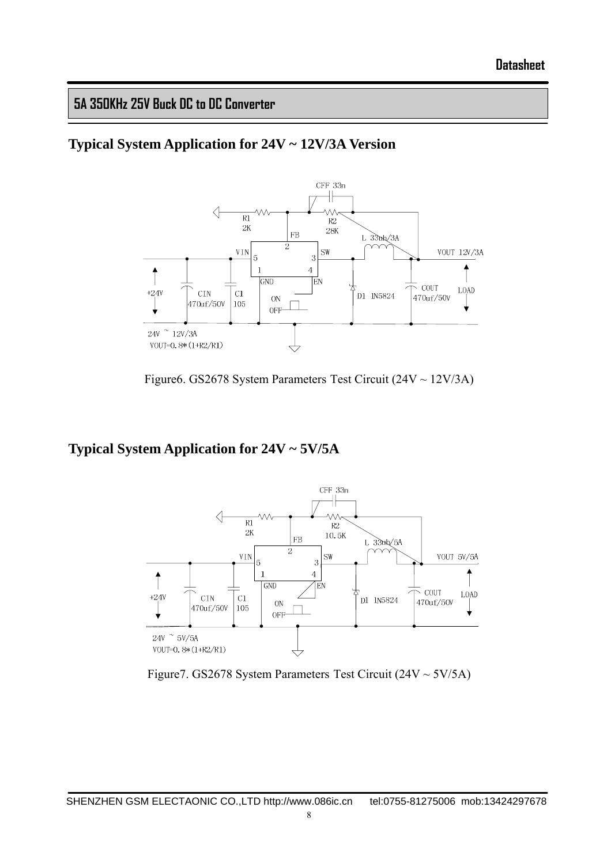### **Typical System Application for 24V ~ 12V/3A Version**



Figure6. GS2678 System Parameters Test Circuit  $(24V \sim 12V/3A)$ 

### **Typical System Application for 24V ~ 5V/5A**



Figure7. GS2678 System Parameters Test Circuit (24V ~ 5V/5A)